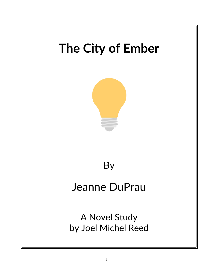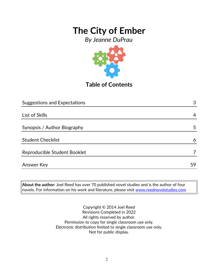*By Jeanne DuPrau*



**Table of Contents**

| <b>Suggestions and Expectations</b> | 3  |
|-------------------------------------|----|
|                                     |    |
| List of Skills                      | 4  |
|                                     |    |
| Synopsis / Author Biography         | 5  |
|                                     |    |
| <b>Student Checklist</b>            | 6  |
|                                     |    |
| Reproducible Student Booklet        |    |
|                                     |    |
| <b>Answer Key</b>                   | 59 |

**About the author:** Joel Reed has over 70 published novel studies and is the author of four  $|$ novels. For information on his work and literature, please visit  $\overline{\text{www.reednovelstudies.com}}$ 

> Copyright © 2014 Joel Reed Revisions Completed in 2022 All rights reserved by author. Permission to copy for single classroom use only. Electronic distribution limited to single classroom use only. Not for public display.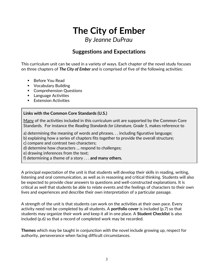## **The City of Ember** *By Jeanne DuPrau*

## **Suggestions and Expectations**

This curriculum unit can be used in a variety of ways. Each chapter of the novel study focuses on three chapters of *The City of Ember* and is comprised of five of the following activities:

- Before You Read
- **Vocabulary Building**
- **Comprehension Questions**
- **Language Activities**
- **Extension Activities**

#### **Links with the Common Core Standards (U.S.)**

Many of the activities included in this curriculum unit are supported by the Common Core Standards. For instance the *Reading Standards for Literature, Grade 5*, makes reference to

a) determining the meaning of words and phrases. . . including figurative language;

b) explaining how a series of chapters fits together to provide the overall structure;

c) compare and contrast two characters;

d) determine how characters … respond to challenges;

e) drawing inferences from the text;

f) determining a theme of a story . . . **and many others.**

A principal expectation of the unit is that students will develop their skills in reading, writing, listening and oral communication, as well as in reasoning and critical thinking. Students will also be expected to provide clear answers to questions and well-constructed explanations. It is critical as well that students be able to relate events and the feelings of characters to their own lives and experiences and describe their own interpretation of a particular passage.

A strength of the unit is that students can work on the activities at their own pace. Every activity need not be completed by all students. A **portfolio cover** is included (p.7) so that students may organize their work and keep it all in one place. A **Student Checklist** is also included (p.6) so that a record of completed work may be recorded.

**Themes** which may be taught in conjunction with the novel include growing up, respect for authority, perseverance when facing difficult circumstances.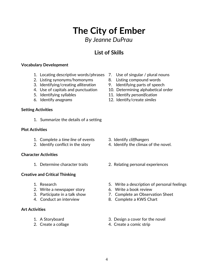## 4

## **The City of Ember** *By Jeanne DuPrau*

### **List of Skills**

#### **Vocabulary Development**

- 1. Locating descriptive words/phrases 7. Use of singular / plural nouns
- 2. Listing synonyms/homonyms 8. Listing compound words
- 3. Identifying/creating *alliteration* 9. Identifying parts of speech
- 
- 
- 

#### **Setting Activities**

1. Summarize the details of a setting

#### **Plot Activities**

- 1. Complete a *time line* of events 3. Identify *cliffhangers*
- 

#### **Character Activities**

### **Creative and Critical Thinking**

- 
- 2. Write a newspaper story 6. Write a book review
- 
- 

#### **Art Activities**

- 
- 
- 
- 
- 
- 4. Use of capitals and punctuation 10. Determining alphabetical order
- 5. Identifying syllables 11. Identify *personification*
- 6. Identify *anagrams* 12. Identify/create *similes*

- 
- 2. Identify conflict in the story 4. Identify the climax of the novel.
- 1. Determine character traits 2. Relating personal experiences
- 1. Research 5. Write a description of personal feelings
	-
- 3. Participate in a talk show 7. Complete an Observation Sheet
- 4. Conduct an interview 8. Complete a KWS Chart
- 1. A Storyboard 3. Design a cover for the novel
- 2. Create a collage 4. Create a comic strip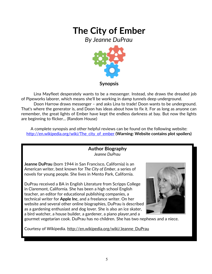*By Jeanne DuPrau*



Lina Mayfleet desperately wants to be a messenger. Instead, she draws the dreaded job of Pipeworks laborer, which means she'll be working in damp tunnels deep underground.

Doon Harrow draws messenger – and asks Lina to trade! Doon wants to be underground. That's where the generator is, and Doon has ideas about how to fix it. For as long as anyone can remember, the great lights of Ember have kept the endless darkness at bay. But now the lights are beginning to flicker... (Random House)

A complete synopsis and other helpful reviews can be found on the following website: [http://en.wikipedia.org/wiki/The\\_city\\_of\\_ember](http://en.wikipedia.org/wiki/The_city_of_ember) **(Warning: Website contains plot spoilers)**

> **Author Biography** *Jeanne DuPrau*

**Jeanne DuPrau** (born 1944 in San Francisco, California) is an American writer, best known for *The City of Ember*, a series of novels for young people. She lives in Mento Park, California.

DuPrau received a BA in English Literature from Scripps College in Claremont, California. She has been a high school English teacher, an editor for educational publishing companies, a technical writer for **Apple Inc**, and a freelance writer. On her website and several other online biographies, DuPrau is described as a gardening enthusiast and dog lover. She is also an ice skater, a bird watcher, a house builder, a gardener, a piano player,and a



gourmet vegetarian cook. DuPrau has no children. She has two nephews and a niece.

Courtesy of Wikipedia. [http://en.wikipedia.org/wiki/Jeanne\\_DuPrau](http://en.wikipedia.org/wiki/Jeanne_DuPrau)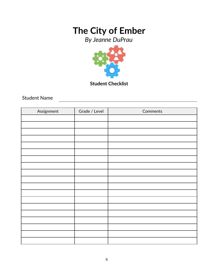*By Jeanne DuPrau*



**Student Checklist**

Student Name

| Assignment | Grade / Level | Comments |
|------------|---------------|----------|
|            |               |          |
|            |               |          |
|            |               |          |
|            |               |          |
|            |               |          |
|            |               |          |
|            |               |          |
|            |               |          |
|            |               |          |
|            |               |          |
|            |               |          |
|            |               |          |
|            |               |          |
|            |               |          |
|            |               |          |
|            |               |          |
|            |               |          |
|            |               |          |
|            |               |          |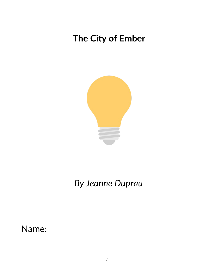

# *By Jeanne Duprau*

Name: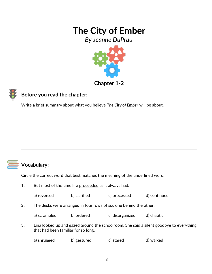*By Jeanne DuPrau*



### **Chapter 1-2**

### **Before you read the chapter**:

Write a brief summary about what you believe *The City of Ember* will be about.



### **Vocabulary:**

Circle the correct word that best matches the meaning of the underlined word.

1. But most of the time life proceeded as it always had.

| b) clarified<br>c) processed<br>a) reversed | d) continued |
|---------------------------------------------|--------------|
|---------------------------------------------|--------------|

2. The desks were arranged in four rows of six, one behind the other.

|  | a) scrambled | b) ordered | c) disorganized | d) chaotic |
|--|--------------|------------|-----------------|------------|
|--|--------------|------------|-----------------|------------|

3. Lina looked up and gazed around the schoolroom. She said a silent goodbye to everything that had been familiar for so long.

| a) shrugged | b) gestured | c) stared | d) walked |
|-------------|-------------|-----------|-----------|
|             |             |           |           |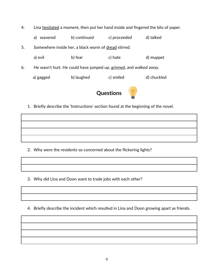- 4. Lina hesitated a moment, then put her hand inside and fingered the bits of paper.
- a) wavered b) continued c) proceeded d) talked 5. Somewhere inside her, a black worm of dread stirred. a) evil b) fear c) hate d) muppet 6. He wasn't hurt. He could have jumped up, grinned, and walked away. a) gagged b) laughed c) smiled d) chuckled **Questions**
	- 1. Briefly describe the 'Instructions' section found at the beginning of the novel.

- 2. Why were the residents so concerned about the flickering lights?
- 3. Why did Lina and Doon want to trade jobs with each other?
- 4. Briefly describe the incident which resulted in Lina and Doon growing apart as friends.

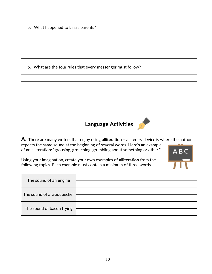5. What happened to Lina's parents?

6. What are the four rules that every messenger must follow?







**A**. There are many writers that enjoy using **alliteration –** a literary device is where the author repeats the same sound at the beginning of several words. Here's an example of an alliteration: "**g**rousing, **g**rouching, **g**rumbling about something or other."



Using your imagination, create your own examples of **alliteration** from the following topics. Each example must contain a minimum of three words.

| The sound of an engine    |  |
|---------------------------|--|
| The sound of a woodpecker |  |
| The sound of bacon frying |  |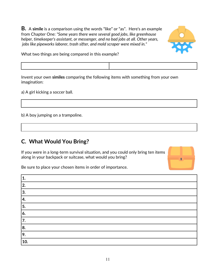**B.** A **simile** is a comparison using the words "like" or "as". Here's an example from Chapter One: *"Some years there were several good jobs, like greenhouse helper, timekeeper's assistant, or messenger, and no bad jobs at all. Other years, jobs like pipeworks laborer, trash sifter, and mold scraper were mixed in."*



What two things are being compared in this example?

Invent your own **similes** comparing the following items with something from your own imagination:

a) A girl kicking a soccer ball.

b) A boy jumping on a trampoline.

### **C. What Would You Bring?**

If you were in a long-term survival situation, and you could only bring ten items along in your backpack or suitcase, what would you bring?



Be sure to place your chosen items in order of importance.

| 10. |
|-----|